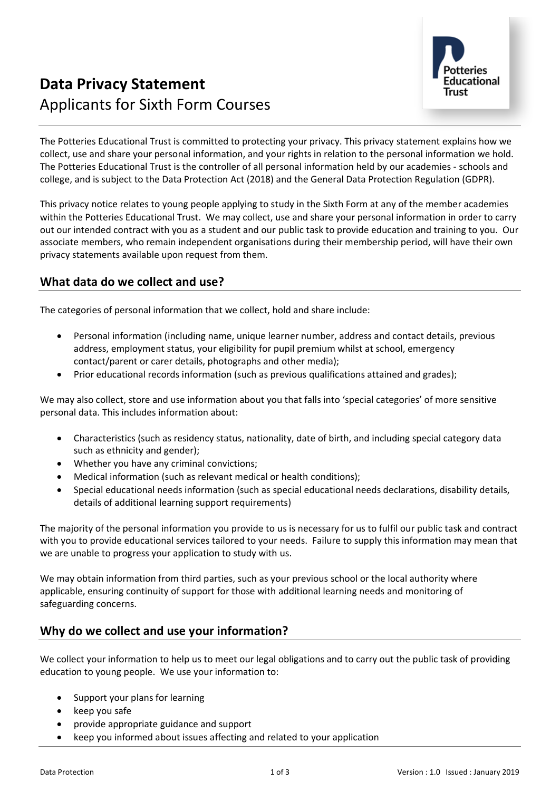

# **Data Privacy Statement** Applicants for Sixth Form Courses

The Potteries Educational Trust is committed to protecting your privacy. This privacy statement explains how we collect, use and share your personal information, and your rights in relation to the personal information we hold. The Potteries Educational Trust is the controller of all personal information held by our academies - schools and college, and is subject to the Data Protection Act (2018) and the General Data Protection Regulation (GDPR).

This privacy notice relates to young people applying to study in the Sixth Form at any of the member academies within the Potteries Educational Trust. We may collect, use and share your personal information in order to carry out our intended contract with you as a student and our public task to provide education and training to you. Our associate members, who remain independent organisations during their membership period, will have their own privacy statements available upon request from them.

## **What data do we collect and use?**

The categories of personal information that we collect, hold and share include:

- Personal information (including name, unique learner number, address and contact details, previous address, employment status, your eligibility for pupil premium whilst at school, emergency contact/parent or carer details, photographs and other media);
- Prior educational records information (such as previous qualifications attained and grades);

We may also collect, store and use information about you that falls into 'special categories' of more sensitive personal data. This includes information about:

- Characteristics (such as residency status, nationality, date of birth, and including special category data such as ethnicity and gender);
- Whether you have any criminal convictions;
- Medical information (such as relevant medical or health conditions);
- Special educational needs information (such as special educational needs declarations, disability details, details of additional learning support requirements)

The majority of the personal information you provide to us is necessary for us to fulfil our public task and contract with you to provide educational services tailored to your needs. Failure to supply this information may mean that we are unable to progress your application to study with us.

We may obtain information from third parties, such as your previous school or the local authority where applicable, ensuring continuity of support for those with additional learning needs and monitoring of safeguarding concerns.

## **Why do we collect and use your information?**

We collect your information to help us to meet our legal obligations and to carry out the public task of providing education to young people. We use your information to:

- Support your plans for learning
- keep you safe
- provide appropriate guidance and support
- keep you informed about issues affecting and related to your application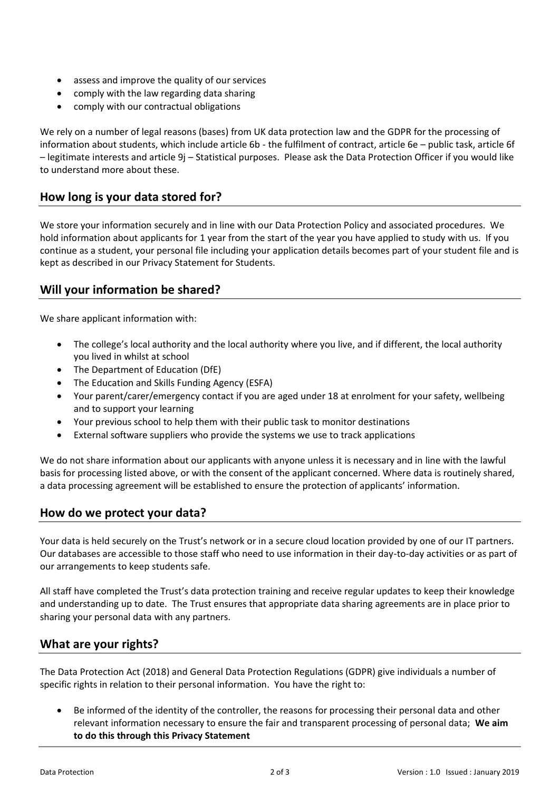- assess and improve the quality of our services
- comply with the law regarding data sharing
- comply with our contractual obligations

We rely on a number of legal reasons (bases) from UK data protection law and the GDPR for the processing of information about students, which include article 6b - the fulfilment of contract, article 6e – public task, article 6f – legitimate interests and article 9j – Statistical purposes. Please ask the Data Protection Officer if you would like to understand more about these.

## **How long is your data stored for?**

We store your information securely and in line with our Data Protection Policy and associated procedures. We hold information about applicants for 1 year from the start of the year you have applied to study with us. If you continue as a student, your personal file including your application details becomes part of your student file and is kept as described in our Privacy Statement for Students.

## **Will your information be shared?**

We share applicant information with:

- The college's local authority and the local authority where you live, and if different, the local authority you lived in whilst at school
- The Department of Education (DfE)
- The Education and Skills Funding Agency (ESFA)
- Your parent/carer/emergency contact if you are aged under 18 at enrolment for your safety, wellbeing and to support your learning
- Your previous school to help them with their public task to monitor destinations
- External software suppliers who provide the systems we use to track applications

We do not share information about our applicants with anyone unless it is necessary and in line with the lawful basis for processing listed above, or with the consent of the applicant concerned. Where data is routinely shared, a data processing agreement will be established to ensure the protection of applicants' information.

#### **How do we protect your data?**

Your data is held securely on the Trust's network or in a secure cloud location provided by one of our IT partners. Our databases are accessible to those staff who need to use information in their day-to-day activities or as part of our arrangements to keep students safe.

All staff have completed the Trust's data protection training and receive regular updates to keep their knowledge and understanding up to date. The Trust ensures that appropriate data sharing agreements are in place prior to sharing your personal data with any partners.

#### **What are your rights?**

The Data Protection Act (2018) and General Data Protection Regulations (GDPR) give individuals a number of specific rights in relation to their personal information. You have the right to:

• Be informed of the identity of the controller, the reasons for processing their personal data and other relevant information necessary to ensure the fair and transparent processing of personal data; **We aim to do this through this Privacy Statement**